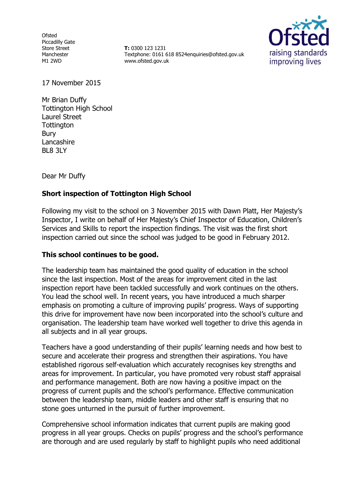**Ofsted** Piccadilly Gate Store Street Manchester M1 2WD

**T:** 0300 123 1231 Textphone: 0161 618 8524enquiries@ofsted.gov.uk www.ofsted.gov.uk



17 November 2015

Mr Brian Duffy Tottington High School Laurel Street **Tottington** Bury Lancashire BL8 3LY

Dear Mr Duffy

### **Short inspection of Tottington High School**

Following my visit to the school on 3 November 2015 with Dawn Platt, Her Majesty's Inspector, I write on behalf of Her Majesty's Chief Inspector of Education, Children's Services and Skills to report the inspection findings. The visit was the first short inspection carried out since the school was judged to be good in February 2012.

### **This school continues to be good.**

The leadership team has maintained the good quality of education in the school since the last inspection. Most of the areas for improvement cited in the last inspection report have been tackled successfully and work continues on the others. You lead the school well. In recent years, you have introduced a much sharper emphasis on promoting a culture of improving pupils' progress. Ways of supporting this drive for improvement have now been incorporated into the school's culture and organisation. The leadership team have worked well together to drive this agenda in all subjects and in all year groups.

Teachers have a good understanding of their pupils' learning needs and how best to secure and accelerate their progress and strengthen their aspirations. You have established rigorous self-evaluation which accurately recognises key strengths and areas for improvement. In particular, you have promoted very robust staff appraisal and performance management. Both are now having a positive impact on the progress of current pupils and the school's performance. Effective communication between the leadership team, middle leaders and other staff is ensuring that no stone goes unturned in the pursuit of further improvement.

Comprehensive school information indicates that current pupils are making good progress in all year groups. Checks on pupils' progress and the school's performance are thorough and are used regularly by staff to highlight pupils who need additional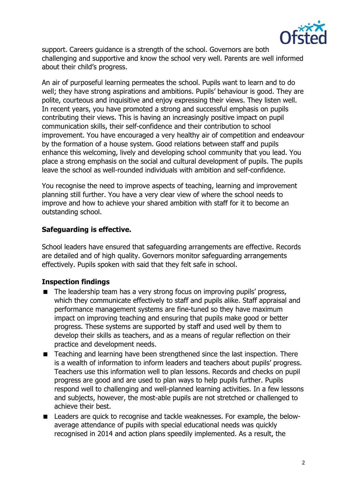

support. Careers guidance is a strength of the school. Governors are both challenging and supportive and know the school very well. Parents are well informed about their child's progress.

An air of purposeful learning permeates the school. Pupils want to learn and to do well; they have strong aspirations and ambitions. Pupils' behaviour is good. They are polite, courteous and inquisitive and enjoy expressing their views. They listen well. In recent years, you have promoted a strong and successful emphasis on pupils contributing their views. This is having an increasingly positive impact on pupil communication skills, their self-confidence and their contribution to school improvement. You have encouraged a very healthy air of competition and endeavour by the formation of a house system. Good relations between staff and pupils enhance this welcoming, lively and developing school community that you lead. You place a strong emphasis on the social and cultural development of pupils. The pupils leave the school as well-rounded individuals with ambition and self-confidence.

You recognise the need to improve aspects of teaching, learning and improvement planning still further. You have a very clear view of where the school needs to improve and how to achieve your shared ambition with staff for it to become an outstanding school.

# **Safeguarding is effective.**

School leaders have ensured that safeguarding arrangements are effective. Records are detailed and of high quality. Governors monitor safeguarding arrangements effectively. Pupils spoken with said that they felt safe in school.

# **Inspection findings**

- The leadership team has a very strong focus on improving pupils' progress, which they communicate effectively to staff and pupils alike. Staff appraisal and performance management systems are fine-tuned so they have maximum impact on improving teaching and ensuring that pupils make good or better progress. These systems are supported by staff and used well by them to develop their skills as teachers, and as a means of regular reflection on their practice and development needs.
- Teaching and learning have been strengthened since the last inspection. There is a wealth of information to inform leaders and teachers about pupils' progress. Teachers use this information well to plan lessons. Records and checks on pupil progress are good and are used to plan ways to help pupils further. Pupils respond well to challenging and well-planned learning activities. In a few lessons and subjects, however, the most-able pupils are not stretched or challenged to achieve their best.
- Leaders are quick to recognise and tackle weaknesses. For example, the belowaverage attendance of pupils with special educational needs was quickly recognised in 2014 and action plans speedily implemented. As a result, the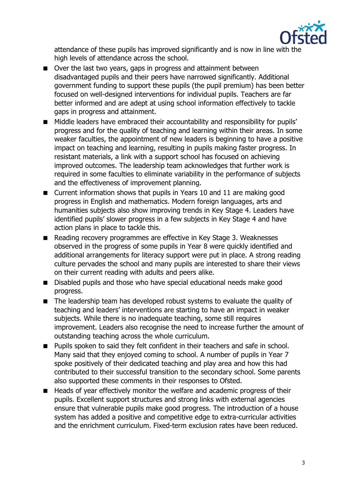

attendance of these pupils has improved significantly and is now in line with the high levels of attendance across the school.

- Over the last two years, gaps in progress and attainment between disadvantaged pupils and their peers have narrowed significantly. Additional government funding to support these pupils (the pupil premium) has been better focused on well-designed interventions for individual pupils. Teachers are far better informed and are adept at using school information effectively to tackle gaps in progress and attainment.
- **Middle leaders have embraced their accountability and responsibility for pupils'** progress and for the quality of teaching and learning within their areas. In some weaker faculties, the appointment of new leaders is beginning to have a positive impact on teaching and learning, resulting in pupils making faster progress. In resistant materials, a link with a support school has focused on achieving improved outcomes. The leadership team acknowledges that further work is required in some faculties to eliminate variability in the performance of subjects and the effectiveness of improvement planning.
- Current information shows that pupils in Years 10 and 11 are making good progress in English and mathematics. Modern foreign languages, arts and humanities subjects also show improving trends in Key Stage 4. Leaders have identified pupils' slower progress in a few subjects in Key Stage 4 and have action plans in place to tackle this.
- Reading recovery programmes are effective in Key Stage 3. Weaknesses observed in the progress of some pupils in Year 8 were quickly identified and additional arrangements for literacy support were put in place. A strong reading culture pervades the school and many pupils are interested to share their views on their current reading with adults and peers alike.
- Disabled pupils and those who have special educational needs make good progress.
- The leadership team has developed robust systems to evaluate the quality of teaching and leaders' interventions are starting to have an impact in weaker subjects. While there is no inadequate teaching, some still requires improvement. Leaders also recognise the need to increase further the amount of outstanding teaching across the whole curriculum.
- **Pupils spoken to said they felt confident in their teachers and safe in school.** Many said that they enjoyed coming to school. A number of pupils in Year 7 spoke positively of their dedicated teaching and play area and how this had contributed to their successful transition to the secondary school. Some parents also supported these comments in their responses to Ofsted.
- Heads of year effectively monitor the welfare and academic progress of their pupils. Excellent support structures and strong links with external agencies ensure that vulnerable pupils make good progress. The introduction of a house system has added a positive and competitive edge to extra-curricular activities and the enrichment curriculum. Fixed-term exclusion rates have been reduced.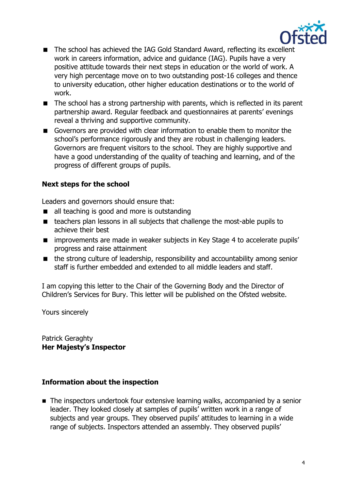

- The school has achieved the IAG Gold Standard Award, reflecting its excellent work in careers information, advice and guidance (IAG). Pupils have a very positive attitude towards their next steps in education or the world of work. A very high percentage move on to two outstanding post-16 colleges and thence to university education, other higher education destinations or to the world of work.
- The school has a strong partnership with parents, which is reflected in its parent partnership award. Regular feedback and questionnaires at parents' evenings reveal a thriving and supportive community.
- Governors are provided with clear information to enable them to monitor the school's performance rigorously and they are robust in challenging leaders. Governors are frequent visitors to the school. They are highly supportive and have a good understanding of the quality of teaching and learning, and of the progress of different groups of pupils.

# **Next steps for the school**

Leaders and governors should ensure that:

- all teaching is good and more is outstanding
- teachers plan lessons in all subjects that challenge the most-able pupils to achieve their best
- **Indeed improvements are made in weaker subjects in Key Stage 4 to accelerate pupils'** progress and raise attainment
- the strong culture of leadership, responsibility and accountability among senior staff is further embedded and extended to all middle leaders and staff.

I am copying this letter to the Chair of the Governing Body and the Director of Children's Services for Bury. This letter will be published on the Ofsted website.

Yours sincerely

Patrick Geraghty **Her Majesty's Inspector** 

# **Information about the inspection**

■ The inspectors undertook four extensive learning walks, accompanied by a senior leader. They looked closely at samples of pupils' written work in a range of subjects and year groups. They observed pupils' attitudes to learning in a wide range of subjects. Inspectors attended an assembly. They observed pupils'